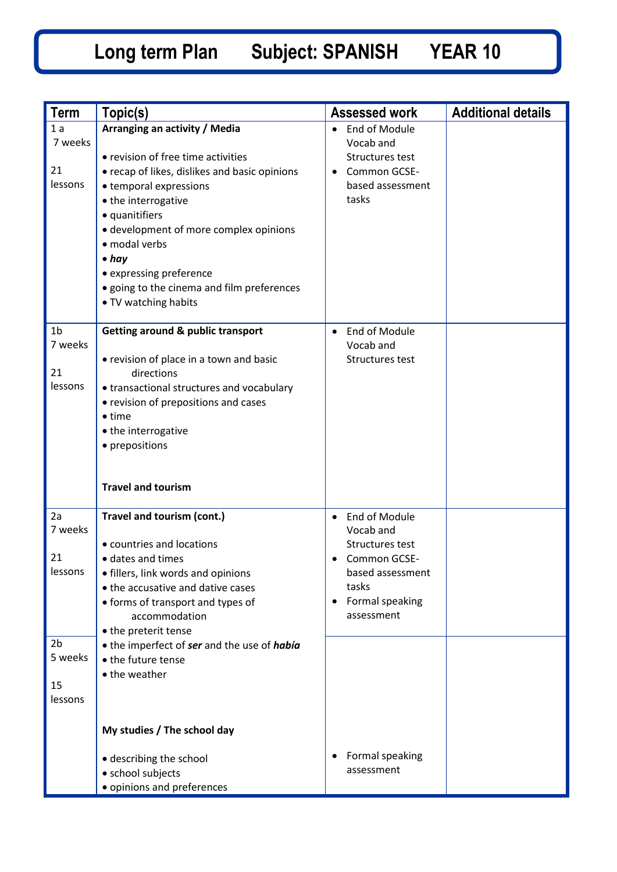| <b>Term</b>                                                                  | Topic(s)                                                                                                                                                                                                                                                                                                                                                             | <b>Assessed work</b>                                                                                                                                  | <b>Additional details</b> |
|------------------------------------------------------------------------------|----------------------------------------------------------------------------------------------------------------------------------------------------------------------------------------------------------------------------------------------------------------------------------------------------------------------------------------------------------------------|-------------------------------------------------------------------------------------------------------------------------------------------------------|---------------------------|
| 1a<br>7 weeks<br>21<br>lessons                                               | Arranging an activity / Media<br>• revision of free time activities<br>• recap of likes, dislikes and basic opinions<br>• temporal expressions<br>• the interrogative<br>• quanitifiers<br>• development of more complex opinions<br>· modal verbs<br>$\bullet$ hay<br>• expressing preference<br>• going to the cinema and film preferences<br>• TV watching habits | End of Module<br>$\bullet$<br>Vocab and<br>Structures test<br>Common GCSE-<br>based assessment<br>tasks                                               |                           |
| 1 <sub>b</sub><br>7 weeks<br>21<br>lessons                                   | <b>Getting around &amp; public transport</b><br>• revision of place in a town and basic<br>directions<br>• transactional structures and vocabulary<br>• revision of prepositions and cases<br>$\bullet$ time<br>• the interrogative<br>• prepositions<br><b>Travel and tourism</b>                                                                                   | End of Module<br>Vocab and<br>Structures test                                                                                                         |                           |
| 2a<br>7 weeks<br>21<br>lessons<br>2 <sub>b</sub><br>5 weeks<br>15<br>lessons | Travel and tourism (cont.)<br>• countries and locations<br>• dates and times<br>• fillers, link words and opinions<br>• the accusative and dative cases<br>• forms of transport and types of<br>accommodation<br>• the preterit tense<br>• the imperfect of ser and the use of había<br>• the future tense<br>• the weather                                          | End of Module<br>$\bullet$<br>Vocab and<br>Structures test<br>Common GCSE-<br>$\bullet$<br>based assessment<br>tasks<br>Formal speaking<br>assessment |                           |
|                                                                              | My studies / The school day<br>· describing the school<br>• school subjects<br>· opinions and preferences                                                                                                                                                                                                                                                            | Formal speaking<br>٠<br>assessment                                                                                                                    |                           |